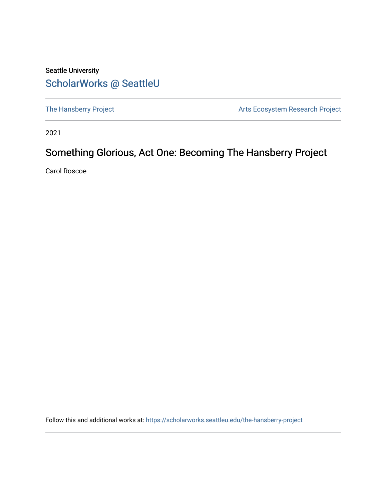# Seattle University [ScholarWorks @ SeattleU](https://scholarworks.seattleu.edu/)

[The Hansberry Project](https://scholarworks.seattleu.edu/the-hansberry-project) **Arts Ecosystem Research Project** Arts Ecosystem Research Project

2021

# Something Glorious, Act One: Becoming The Hansberry Project

Carol Roscoe

Follow this and additional works at: [https://scholarworks.seattleu.edu/the-hansberry-project](https://scholarworks.seattleu.edu/the-hansberry-project?utm_source=scholarworks.seattleu.edu%2Fthe-hansberry-project%2F1&utm_medium=PDF&utm_campaign=PDFCoverPages)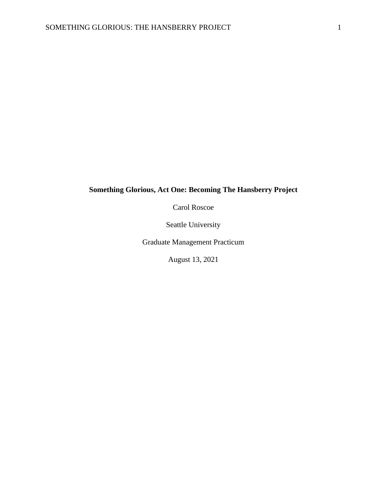# **Something Glorious, Act One: Becoming The Hansberry Project**

Carol Roscoe

Seattle University

Graduate Management Practicum

August 13, 2021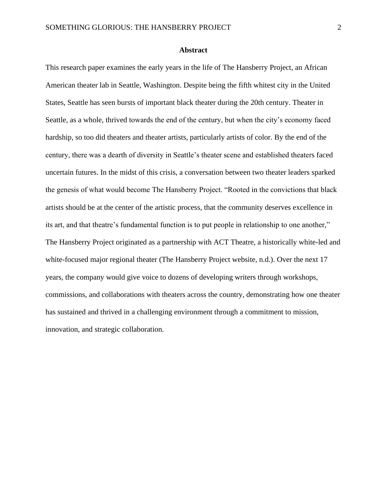#### **Abstract**

This research paper examines the early years in the life of The Hansberry Project, an African American theater lab in Seattle, Washington. Despite being the fifth whitest city in the United States, Seattle has seen bursts of important black theater during the 20th century. Theater in Seattle, as a whole, thrived towards the end of the century, but when the city's economy faced hardship, so too did theaters and theater artists, particularly artists of color. By the end of the century, there was a dearth of diversity in Seattle's theater scene and established theaters faced uncertain futures. In the midst of this crisis, a conversation between two theater leaders sparked the genesis of what would become The Hansberry Project. "Rooted in the convictions that black artists should be at the center of the artistic process, that the community deserves excellence in its art, and that theatre's fundamental function is to put people in relationship to one another," The Hansberry Project originated as a partnership with ACT Theatre, a historically white-led and white-focused major regional theater (The Hansberry Project website, n.d.). Over the next 17 years, the company would give voice to dozens of developing writers through workshops, commissions, and collaborations with theaters across the country, demonstrating how one theater has sustained and thrived in a challenging environment through a commitment to mission, innovation, and strategic collaboration.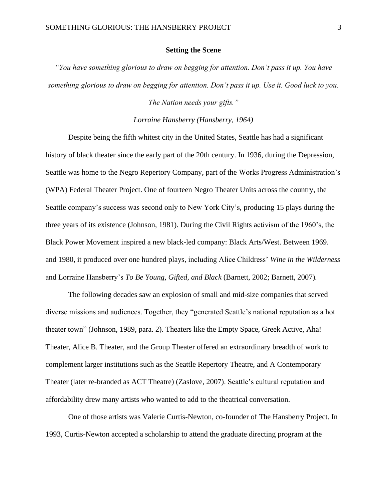#### **Setting the Scene**

*"You have something glorious to draw on begging for attention. Don't pass it up. You have something glorious to draw on begging for attention. Don't pass it up. Use it. Good luck to you.* 

*The Nation needs your gifts."*

### *Lorraine Hansberry (Hansberry, 1964)*

Despite being the fifth whitest city in the United States, Seattle has had a significant history of black theater since the early part of the 20th century. In 1936, during the Depression, Seattle was home to the Negro Repertory Company, part of the Works Progress Administration's (WPA) Federal Theater Project. One of fourteen Negro Theater Units across the country, the Seattle company's success was second only to New York City's, producing 15 plays during the three years of its existence (Johnson, 1981). During the Civil Rights activism of the 1960's, the Black Power Movement inspired a new black-led company: Black Arts/West. Between 1969. and 1980, it produced over one hundred plays, including Alice Childress' *Wine in the Wilderness* and Lorraine Hansberry's *To Be Young, Gifted, and Black* (Barnett, 2002; Barnett, 2007)*.*

The following decades saw an explosion of small and mid-size companies that served diverse missions and audiences. Together, they "generated Seattle's national reputation as a hot theater town" (Johnson, 1989, para. 2). Theaters like the Empty Space, Greek Active, Aha! Theater, Alice B. Theater, and the Group Theater offered an extraordinary breadth of work to complement larger institutions such as the Seattle Repertory Theatre, and A Contemporary Theater (later re-branded as ACT Theatre) (Zaslove, 2007). Seattle's cultural reputation and affordability drew many artists who wanted to add to the theatrical conversation.

One of those artists was Valerie Curtis-Newton, co-founder of The Hansberry Project. In 1993, Curtis-Newton accepted a scholarship to attend the graduate directing program at the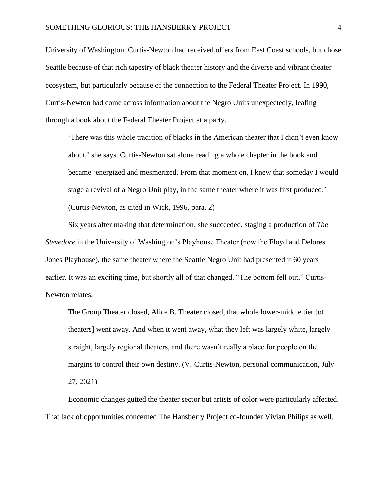University of Washington. Curtis-Newton had received offers from East Coast schools, but chose Seattle because of that rich tapestry of black theater history and the diverse and vibrant theater ecosystem, but particularly because of the connection to the Federal Theater Project. In 1990, Curtis-Newton had come across information about the Negro Units unexpectedly, leafing through a book about the Federal Theater Project at a party.

'There was this whole tradition of blacks in the American theater that I didn't even know about,' she says. Curtis-Newton sat alone reading a whole chapter in the book and became 'energized and mesmerized. From that moment on, I knew that someday I would stage a revival of a Negro Unit play, in the same theater where it was first produced.' (Curtis-Newton, as cited in Wick, 1996, para. 2)

Six years after making that determination, she succeeded, staging a production of *The Stevedore* in the University of Washington's Playhouse Theater (now the Floyd and Delores Jones Playhouse), the same theater where the Seattle Negro Unit had presented it 60 years earlier. It was an exciting time, but shortly all of that changed. "The bottom fell out," Curtis-Newton relates,

The Group Theater closed, Alice B. Theater closed, that whole lower-middle tier [of theaters] went away. And when it went away, what they left was largely white, largely straight, largely regional theaters, and there wasn't really a place for people on the margins to control their own destiny. (V. Curtis-Newton, personal communication, July 27, 2021)

Economic changes gutted the theater sector but artists of color were particularly affected. That lack of opportunities concerned The Hansberry Project co-founder Vivian Philips as well.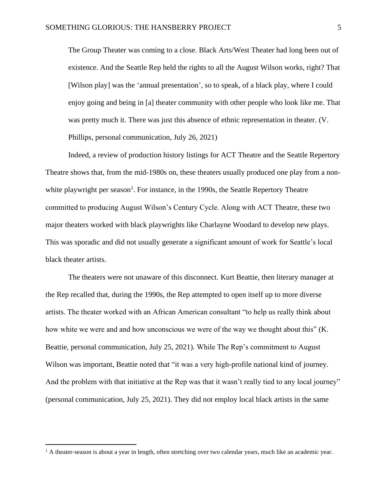The Group Theater was coming to a close. Black Arts/West Theater had long been out of existence. And the Seattle Rep held the rights to all the August Wilson works, right? That [Wilson play] was the 'annual presentation', so to speak, of a black play, where I could enjoy going and being in [a] theater community with other people who look like me. That was pretty much it. There was just this absence of ethnic representation in theater. (V. Phillips, personal communication, July 26, 2021)

Indeed, a review of production history listings for ACT Theatre and the Seattle Repertory Theatre shows that, from the mid-1980s on, these theaters usually produced one play from a non-white playwright per season<sup>[1](about:blank)</sup>. For instance, in the 1990s, the Seattle Repertory Theatre committed to producing August Wilson's Century Cycle. Along with ACT Theatre, these two major theaters worked with black playwrights like Charlayne Woodard to develop new plays. This was sporadic and did not usually generate a significant amount of work for Seattle's local black theater artists.

The theaters were not unaware of this disconnect. Kurt Beattie, then literary manager at the Rep recalled that, during the 1990s, the Rep attempted to open itself up to more diverse artists. The theater worked with an African American consultant "to help us really think about how white we were and and how unconscious we were of the way we thought about this" (K. Beattie, personal communication, July 25, 2021). While The Rep's commitment to August Wilson was important, Beattie noted that "it was a very high-profile national kind of journey. And the problem with that initiative at the Rep was that it wasn't really tied to any local journey" (personal communication, July 25, 2021). They did not employ local black artists in the same

<sup>&</sup>lt;sup>1</sup> A theater-season is about a year in length, often stretching over two calendar years, much like an academic year.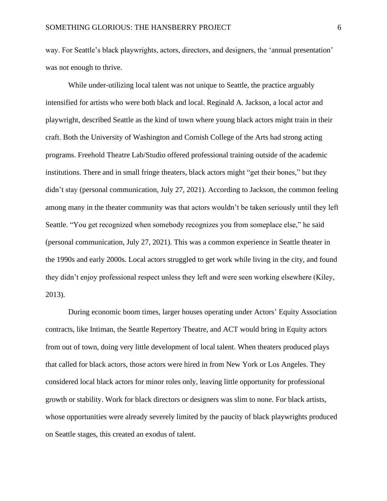way. For Seattle's black playwrights, actors, directors, and designers, the 'annual presentation' was not enough to thrive.

While under-utilizing local talent was not unique to Seattle, the practice arguably intensified for artists who were both black and local. Reginald A. Jackson, a local actor and playwright, described Seattle as the kind of town where young black actors might train in their craft. Both the University of Washington and Cornish College of the Arts had strong acting programs. Freehold Theatre Lab/Studio offered professional training outside of the academic institutions. There and in small fringe theaters, black actors might "get their bones," but they didn't stay (personal communication, July 27, 2021). According to Jackson, the common feeling among many in the theater community was that actors wouldn't be taken seriously until they left Seattle. "You get recognized when somebody recognizes you from someplace else," he said (personal communication, July 27, 2021). This was a common experience in Seattle theater in the 1990s and early 2000s. Local actors struggled to get work while living in the city, and found they didn't enjoy professional respect unless they left and were seen working elsewhere (Kiley, 2013).

During economic boom times, larger houses operating under Actors' Equity Association contracts, like Intiman, the Seattle Repertory Theatre, and ACT would bring in Equity actors from out of town, doing very little development of local talent. When theaters produced plays that called for black actors, those actors were hired in from New York or Los Angeles. They considered local black actors for minor roles only, leaving little opportunity for professional growth or stability. Work for black directors or designers was slim to none. For black artists, whose opportunities were already severely limited by the paucity of black playwrights produced on Seattle stages, this created an exodus of talent.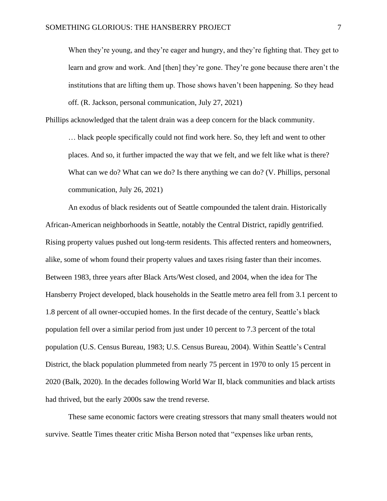When they're young, and they're eager and hungry, and they're fighting that. They get to learn and grow and work. And [then] they're gone. They're gone because there aren't the institutions that are lifting them up. Those shows haven't been happening. So they head off. (R. Jackson, personal communication, July 27, 2021)

Phillips acknowledged that the talent drain was a deep concern for the black community.

… black people specifically could not find work here. So, they left and went to other places. And so, it further impacted the way that we felt, and we felt like what is there? What can we do? What can we do? Is there anything we can do? (V. Phillips, personal communication, July 26, 2021)

An exodus of black residents out of Seattle compounded the talent drain. Historically African-American neighborhoods in Seattle, notably the Central District, rapidly gentrified. Rising property values pushed out long-term residents. This affected renters and homeowners, alike, some of whom found their property values and taxes rising faster than their incomes. Between 1983, three years after Black Arts/West closed, and 2004, when the idea for The Hansberry Project developed, black households in the Seattle metro area fell from 3.1 percent to 1.8 percent of all owner-occupied homes. In the first decade of the century, Seattle's black population fell over a similar period from just under 10 percent to 7.3 percent of the total population (U.S. Census Bureau, 1983; U.S. Census Bureau, 2004). Within Seattle's Central District, the black population plummeted from nearly 75 percent in 1970 to only 15 percent in 2020 (Balk, 2020). In the decades following World War II, black communities and black artists had thrived, but the early 2000s saw the trend reverse.

These same economic factors were creating stressors that many small theaters would not survive. Seattle Times theater critic Misha Berson noted that "expenses like urban rents,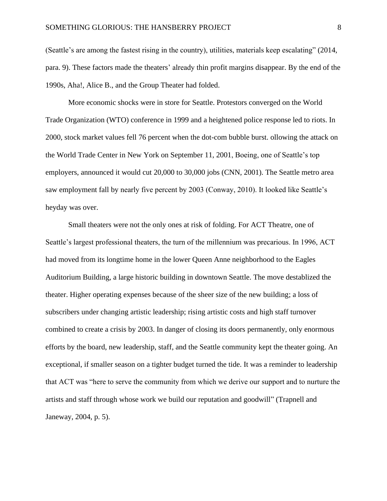(Seattle's are among the fastest rising in the country), utilities, materials keep escalating" (2014, para. 9). These factors made the theaters' already thin profit margins disappear. By the end of the 1990s, Aha!, Alice B., and the Group Theater had folded.

More economic shocks were in store for Seattle. Protestors converged on the World Trade Organization (WTO) conference in 1999 and a heightened police response led to riots. In 2000, stock market values fell 76 percent when the dot-com bubble burst. ollowing the attack on the World Trade Center in New York on September 11, 2001, Boeing, one of Seattle's top employers, announced it would cut 20,000 to 30,000 jobs (CNN, 2001). The Seattle metro area saw employment fall by nearly five percent by 2003 (Conway, 2010). It looked like Seattle's heyday was over.

Small theaters were not the only ones at risk of folding. For ACT Theatre, one of Seattle's largest professional theaters, the turn of the millennium was precarious. In 1996, ACT had moved from its longtime home in the lower Queen Anne neighborhood to the Eagles Auditorium Building, a large historic building in downtown Seattle. The move destablized the theater. Higher operating expenses because of the sheer size of the new building; a loss of subscribers under changing artistic leadership; rising artistic costs and high staff turnover combined to create a crisis by 2003. In danger of closing its doors permanently, only enormous efforts by the board, new leadership, staff, and the Seattle community kept the theater going. An exceptional, if smaller season on a tighter budget turned the tide. It was a reminder to leadership that ACT was "here to serve the community from which we derive our support and to nurture the artists and staff through whose work we build our reputation and goodwill" (Trapnell and Janeway, 2004, p. 5).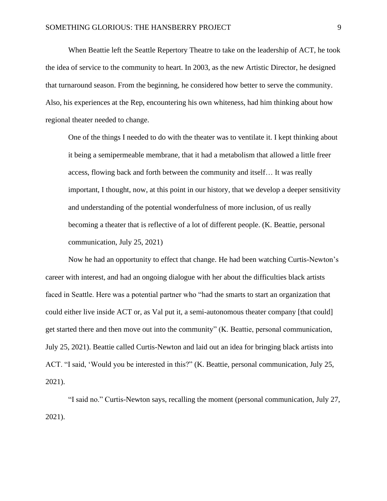When Beattie left the Seattle Repertory Theatre to take on the leadership of ACT, he took the idea of service to the community to heart. In 2003, as the new Artistic Director, he designed that turnaround season. From the beginning, he considered how better to serve the community. Also, his experiences at the Rep, encountering his own whiteness, had him thinking about how regional theater needed to change.

One of the things I needed to do with the theater was to ventilate it. I kept thinking about it being a semipermeable membrane, that it had a metabolism that allowed a little freer access, flowing back and forth between the community and itself… It was really important, I thought, now, at this point in our history, that we develop a deeper sensitivity and understanding of the potential wonderfulness of more inclusion, of us really becoming a theater that is reflective of a lot of different people. (K. Beattie, personal communication, July 25, 2021)

Now he had an opportunity to effect that change. He had been watching Curtis-Newton's career with interest, and had an ongoing dialogue with her about the difficulties black artists faced in Seattle. Here was a potential partner who "had the smarts to start an organization that could either live inside ACT or, as Val put it, a semi-autonomous theater company [that could] get started there and then move out into the community" (K. Beattie, personal communication, July 25, 2021). Beattie called Curtis-Newton and laid out an idea for bringing black artists into ACT. "I said, 'Would you be interested in this?" (K. Beattie, personal communication, July 25, 2021).

"I said no." Curtis-Newton says, recalling the moment (personal communication, July 27, 2021).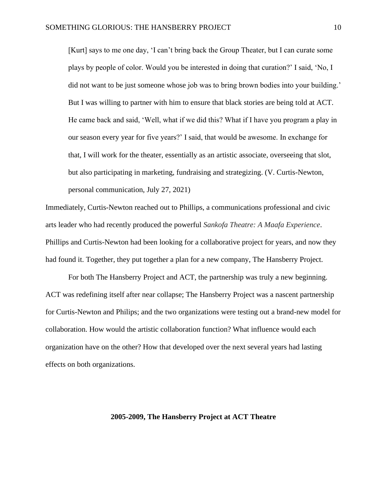[Kurt] says to me one day, 'I can't bring back the Group Theater, but I can curate some plays by people of color. Would you be interested in doing that curation?' I said, 'No, I did not want to be just someone whose job was to bring brown bodies into your building.' But I was willing to partner with him to ensure that black stories are being told at ACT. He came back and said, 'Well, what if we did this? What if I have you program a play in our season every year for five years?' I said, that would be awesome. In exchange for that, I will work for the theater, essentially as an artistic associate, overseeing that slot, but also participating in marketing, fundraising and strategizing. (V. Curtis-Newton, personal communication, July 27, 2021)

Immediately, Curtis-Newton reached out to Phillips, a communications professional and civic arts leader who had recently produced the powerful *Sankofa Theatre: A Maafa Experience*. Phillips and Curtis-Newton had been looking for a collaborative project for years, and now they had found it. Together, they put together a plan for a new company, The Hansberry Project.

For both The Hansberry Project and ACT, the partnership was truly a new beginning. ACT was redefining itself after near collapse; The Hansberry Project was a nascent partnership for Curtis-Newton and Philips; and the two organizations were testing out a brand-new model for collaboration. How would the artistic collaboration function? What influence would each organization have on the other? How that developed over the next several years had lasting effects on both organizations.

# **2005-2009, The Hansberry Project at ACT Theatre**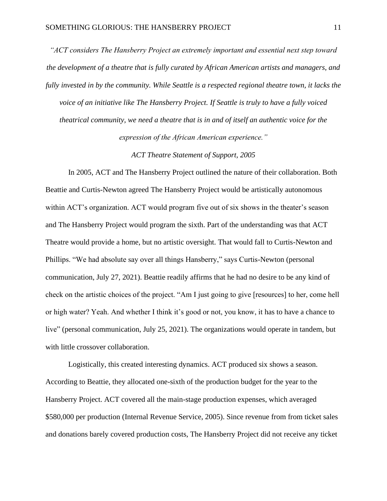*"ACT considers The Hansberry Project an extremely important and essential next step toward the development of a theatre that is fully curated by African American artists and managers, and fully invested in by the community. While Seattle is a respected regional theatre town, it lacks the voice of an initiative like The Hansberry Project. If Seattle is truly to have a fully voiced theatrical community, we need a theatre that is in and of itself an authentic voice for the expression of the African American experience."*

*ACT Theatre Statement of Support, 2005*

In 2005, ACT and The Hansberry Project outlined the nature of their collaboration. Both Beattie and Curtis-Newton agreed The Hansberry Project would be artistically autonomous within ACT's organization. ACT would program five out of six shows in the theater's season and The Hansberry Project would program the sixth. Part of the understanding was that ACT Theatre would provide a home, but no artistic oversight. That would fall to Curtis-Newton and Phillips. "We had absolute say over all things Hansberry," says Curtis-Newton (personal communication, July 27, 2021). Beattie readily affirms that he had no desire to be any kind of check on the artistic choices of the project. "Am I just going to give [resources] to her, come hell or high water? Yeah. And whether I think it's good or not, you know, it has to have a chance to live" (personal communication, July 25, 2021). The organizations would operate in tandem, but with little crossover collaboration.

Logistically, this created interesting dynamics. ACT produced six shows a season. According to Beattie, they allocated one-sixth of the production budget for the year to the Hansberry Project. ACT covered all the main-stage production expenses, which averaged \$580,000 per production (Internal Revenue Service, 2005). Since revenue from from ticket sales and donations barely covered production costs, The Hansberry Project did not receive any ticket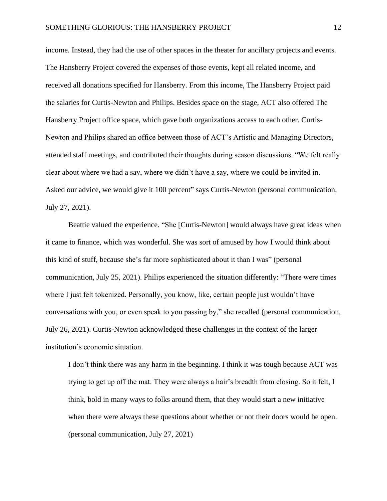income. Instead, they had the use of other spaces in the theater for ancillary projects and events. The Hansberry Project covered the expenses of those events, kept all related income, and received all donations specified for Hansberry. From this income, The Hansberry Project paid the salaries for Curtis-Newton and Philips. Besides space on the stage, ACT also offered The Hansberry Project office space, which gave both organizations access to each other. Curtis-Newton and Philips shared an office between those of ACT's Artistic and Managing Directors, attended staff meetings, and contributed their thoughts during season discussions. "We felt really clear about where we had a say, where we didn't have a say, where we could be invited in. Asked our advice, we would give it 100 percent" says Curtis-Newton (personal communication, July 27, 2021).

Beattie valued the experience. "She [Curtis-Newton] would always have great ideas when it came to finance, which was wonderful. She was sort of amused by how I would think about this kind of stuff, because she's far more sophisticated about it than I was" (personal communication, July 25, 2021). Philips experienced the situation differently: "There were times where I just felt tokenized. Personally, you know, like, certain people just wouldn't have conversations with you, or even speak to you passing by," she recalled (personal communication, July 26, 2021). Curtis-Newton acknowledged these challenges in the context of the larger institution's economic situation.

I don't think there was any harm in the beginning. I think it was tough because ACT was trying to get up off the mat. They were always a hair's breadth from closing. So it felt, I think, bold in many ways to folks around them, that they would start a new initiative when there were always these questions about whether or not their doors would be open. (personal communication, July 27, 2021)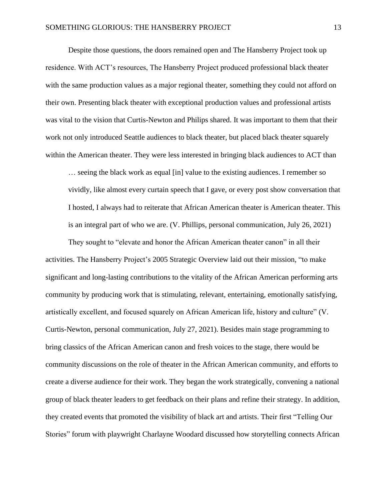Despite those questions, the doors remained open and The Hansberry Project took up residence. With ACT's resources, The Hansberry Project produced professional black theater with the same production values as a major regional theater, something they could not afford on their own. Presenting black theater with exceptional production values and professional artists was vital to the vision that Curtis-Newton and Philips shared. It was important to them that their work not only introduced Seattle audiences to black theater, but placed black theater squarely within the American theater. They were less interested in bringing black audiences to ACT than

… seeing the black work as equal [in] value to the existing audiences. I remember so vividly, like almost every curtain speech that I gave, or every post show conversation that I hosted, I always had to reiterate that African American theater is American theater. This is an integral part of who we are. (V. Phillips, personal communication, July 26, 2021)

They sought to "elevate and honor the African American theater canon" in all their activities. The Hansberry Project's 2005 Strategic Overview laid out their mission, "to make significant and long-lasting contributions to the vitality of the African American performing arts community by producing work that is stimulating, relevant, entertaining, emotionally satisfying, artistically excellent, and focused squarely on African American life, history and culture" (V. Curtis-Newton, personal communication, July 27, 2021). Besides main stage programming to bring classics of the African American canon and fresh voices to the stage, there would be community discussions on the role of theater in the African American community, and efforts to create a diverse audience for their work. They began the work strategically, convening a national group of black theater leaders to get feedback on their plans and refine their strategy. In addition, they created events that promoted the visibility of black art and artists. Their first "Telling Our Stories" forum with playwright Charlayne Woodard discussed how storytelling connects African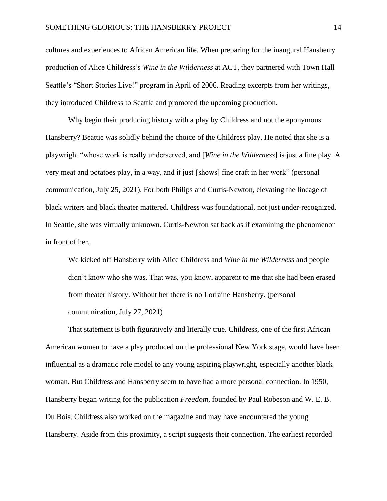cultures and experiences to African American life. When preparing for the inaugural Hansberry production of Alice Childress's *Wine in the Wilderness* at ACT, they partnered with Town Hall Seattle's "Short Stories Live!" program in April of 2006. Reading excerpts from her writings, they introduced Childress to Seattle and promoted the upcoming production.

Why begin their producing history with a play by Childress and not the eponymous Hansberry? Beattie was solidly behind the choice of the Childress play. He noted that she is a playwright "whose work is really underserved, and [*Wine in the Wilderness*] is just a fine play. A very meat and potatoes play, in a way, and it just [shows] fine craft in her work" (personal communication, July 25, 2021). For both Philips and Curtis-Newton, elevating the lineage of black writers and black theater mattered. Childress was foundational, not just under-recognized. In Seattle, she was virtually unknown. Curtis-Newton sat back as if examining the phenomenon in front of her.

We kicked off Hansberry with Alice Childress and *Wine in the Wilderness* and people didn't know who she was. That was, you know, apparent to me that she had been erased from theater history. Without her there is no Lorraine Hansberry. (personal communication, July 27, 2021)

That statement is both figuratively and literally true. Childress, one of the first African American women to have a play produced on the professional New York stage, would have been influential as a dramatic role model to any young aspiring playwright, especially another black woman. But Childress and Hansberry seem to have had a more personal connection. In 1950, Hansberry began writing for the publication *Freedom*, founded by Paul Robeson and W. E. B. Du Bois. Childress also worked on the magazine and may have encountered the young Hansberry. Aside from this proximity, a script suggests their connection. The earliest recorded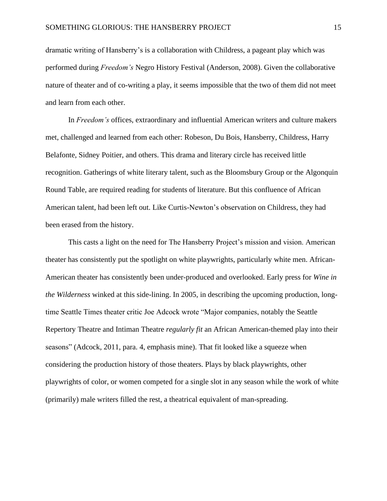dramatic writing of Hansberry's is a collaboration with Childress, a pageant play which was performed during *Freedom's* Negro History Festival (Anderson, 2008). Given the collaborative nature of theater and of co-writing a play, it seems impossible that the two of them did not meet and learn from each other.

In *Freedom's* offices, extraordinary and influential American writers and culture makers met, challenged and learned from each other: Robeson, Du Bois, Hansberry, Childress, Harry Belafonte, Sidney Poitier, and others. This drama and literary circle has received little recognition. Gatherings of white literary talent, such as the Bloomsbury Group or the Algonquin Round Table, are required reading for students of literature. But this confluence of African American talent, had been left out. Like Curtis-Newton's observation on Childress, they had been erased from the history.

This casts a light on the need for The Hansberry Project's mission and vision. American theater has consistently put the spotlight on white playwrights, particularly white men. African-American theater has consistently been under-produced and overlooked. Early press for *Wine in the Wilderness* winked at this side-lining. In 2005, in describing the upcoming production, longtime Seattle Times theater critic Joe Adcock wrote "Major companies, notably the Seattle Repertory Theatre and Intiman Theatre *regularly fit* an African American-themed play into their seasons" (Adcock, 2011, para. 4, emphasis mine). That fit looked like a squeeze when considering the production history of those theaters. Plays by black playwrights, other playwrights of color, or women competed for a single slot in any season while the work of white (primarily) male writers filled the rest, a theatrical equivalent of man-spreading.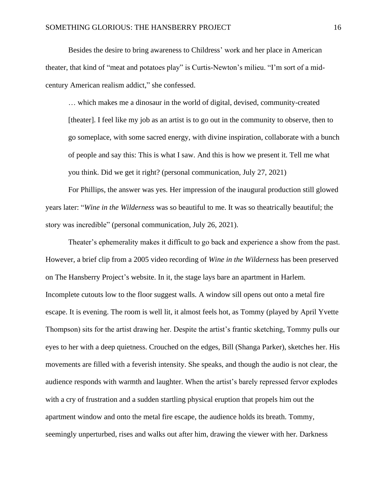Besides the desire to bring awareness to Childress' work and her place in American theater, that kind of "meat and potatoes play" is Curtis-Newton's milieu. "I'm sort of a midcentury American realism addict," she confessed.

… which makes me a dinosaur in the world of digital, devised, community-created [theater]. I feel like my job as an artist is to go out in the community to observe, then to go someplace, with some sacred energy, with divine inspiration, collaborate with a bunch of people and say this: This is what I saw. And this is how we present it. Tell me what you think. Did we get it right? (personal communication, July 27, 2021)

For Phillips, the answer was yes. Her impression of the inaugural production still glowed years later: "*Wine in the Wilderness* was so beautiful to me. It was so theatrically beautiful; the story was incredible" (personal communication, July 26, 2021).

Theater's ephemerality makes it difficult to go back and experience a show from the past. However, a brief clip from a 2005 video recording of *Wine in the Wilderness* has been preserved on The Hansberry Project's website. In it, the stage lays bare an apartment in Harlem. Incomplete cutouts low to the floor suggest walls. A window sill opens out onto a metal fire escape. It is evening. The room is well lit, it almost feels hot, as Tommy (played by April Yvette Thompson) sits for the artist drawing her. Despite the artist's frantic sketching, Tommy pulls our eyes to her with a deep quietness. Crouched on the edges, Bill (Shanga Parker), sketches her. His movements are filled with a feverish intensity. She speaks, and though the audio is not clear, the audience responds with warmth and laughter. When the artist's barely repressed fervor explodes with a cry of frustration and a sudden startling physical eruption that propels him out the apartment window and onto the metal fire escape, the audience holds its breath. Tommy, seemingly unperturbed, rises and walks out after him, drawing the viewer with her. Darkness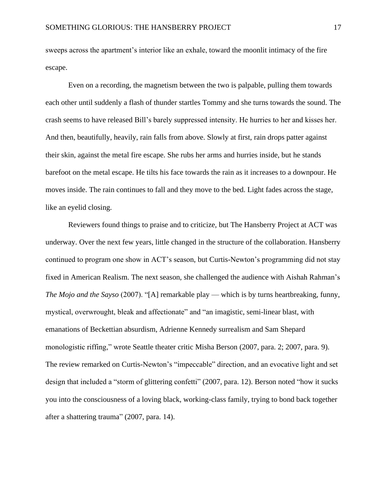sweeps across the apartment's interior like an exhale, toward the moonlit intimacy of the fire escape.

Even on a recording, the magnetism between the two is palpable, pulling them towards each other until suddenly a flash of thunder startles Tommy and she turns towards the sound. The crash seems to have released Bill's barely suppressed intensity. He hurries to her and kisses her. And then, beautifully, heavily, rain falls from above. Slowly at first, rain drops patter against their skin, against the metal fire escape. She rubs her arms and hurries inside, but he stands barefoot on the metal escape. He tilts his face towards the rain as it increases to a downpour. He moves inside. The rain continues to fall and they move to the bed. Light fades across the stage, like an eyelid closing.

Reviewers found things to praise and to criticize, but The Hansberry Project at ACT was underway. Over the next few years, little changed in the structure of the collaboration. Hansberry continued to program one show in ACT's season, but Curtis-Newton's programming did not stay fixed in American Realism. The next season, she challenged the audience with Aishah Rahman's *The Mojo and the Sayso* (2007). "[A] remarkable play — which is by turns heartbreaking, funny, mystical, overwrought, bleak and affectionate" and "an imagistic, semi-linear blast, with emanations of Beckettian absurdism, Adrienne Kennedy surrealism and Sam Shepard monologistic riffing," wrote Seattle theater critic Misha Berson (2007, para. 2; 2007, para. 9). The review remarked on Curtis-Newton's "impeccable" direction, and an evocative light and set design that included a "storm of glittering confetti" (2007, para. 12). Berson noted "how it sucks you into the consciousness of a loving black, working-class family, trying to bond back together after a shattering trauma" (2007, para. 14).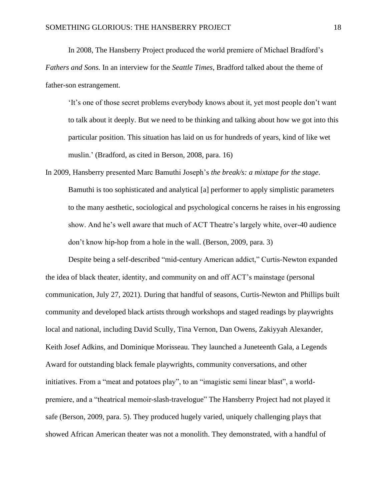In 2008, The Hansberry Project produced the world premiere of Michael Bradford's *Fathers and Sons.* In an interview for the *Seattle Times*, Bradford talked about the theme of father-son estrangement.

'It's one of those secret problems everybody knows about it, yet most people don't want to talk about it deeply. But we need to be thinking and talking about how we got into this particular position. This situation has laid on us for hundreds of years, kind of like wet muslin.' (Bradford, as cited in Berson, 2008, para. 16)

In 2009, Hansberry presented Marc Bamuthi Joseph's *the break/s: a mixtape for the stage*. Bamuthi is too sophisticated and analytical [a] performer to apply simplistic parameters to the many aesthetic, sociological and psychological concerns he raises in his engrossing show. And he's well aware that much of ACT Theatre's largely white, over-40 audience don't know hip-hop from a hole in the wall. (Berson, 2009, para. 3)

Despite being a self-described "mid-century American addict," Curtis-Newton expanded the idea of black theater, identity, and community on and off ACT's mainstage (personal communication, July 27, 2021). During that handful of seasons, Curtis-Newton and Phillips built community and developed black artists through workshops and staged readings by playwrights local and national, including David Scully, Tina Vernon, Dan Owens, Zakiyyah Alexander, Keith Josef Adkins, and Dominique Morisseau. They launched a Juneteenth Gala, a Legends Award for outstanding black female playwrights, community conversations, and other initiatives. From a "meat and potatoes play", to an "imagistic semi linear blast", a worldpremiere, and a "theatrical memoir-slash-travelogue" The Hansberry Project had not played it safe (Berson, 2009, para. 5). They produced hugely varied, uniquely challenging plays that showed African American theater was not a monolith. They demonstrated, with a handful of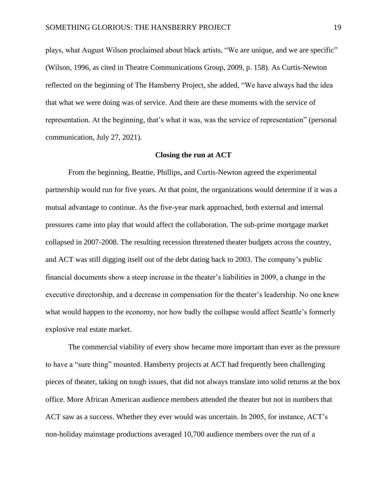plays, what August Wilson proclaimed about black artists, "We are unique, and we are specific" (Wilson, 1996, as cited in Theatre Communications Group, 2009, p. 158). As Curtis-Newton reflected on the beginning of The Hansberry Project, she added, "We have always had the idea that what we were doing was of service. And there are these moments with the service of representation. At the beginning, that's what it was, was the service of representation" (personal communication, July 27, 2021).

#### **Closing the run at ACT**

From the beginning, Beattie, Phillips, and Curtis-Newton agreed the experimental partnership would run for five years. At that point, the organizations would determine if it was a mutual advantage to continue. As the five-year mark approached, both external and internal pressures came into play that would affect the collaboration. The sub-prime mortgage market collapsed in 2007-2008. The resulting recession threatened theater budgets across the country, and ACT was still digging itself out of the debt dating back to 2003. The company's public financial documents show a steep increase in the theater's liabilities in 2009, a change in the executive directorship, and a decrease in compensation for the theater's leadership. No one knew what would happen to the economy, nor how badly the collapse would affect Seattle's formerly explosive real estate market.

The commercial viability of every show became more important than ever as the pressure to have a "sure thing" mounted. Hansberry projects at ACT had frequently been challenging pieces of theater, taking on tough issues, that did not always translate into solid returns at the box office. More African American audience members attended the theater but not in numbers that ACT saw as a success. Whether they ever would was uncertain. In 2005, for instance, ACT's non-holiday mainstage productions averaged 10,700 audience members over the run of a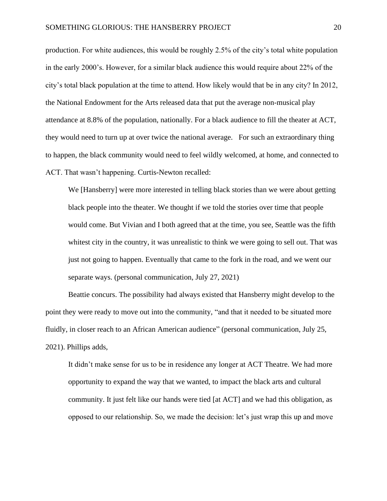production. For white audiences, this would be roughly 2.5% of the city's total white population in the early 2000's. However, for a similar black audience this would require about 22% of the city's total black population at the time to attend. How likely would that be in any city? In 2012, the National Endowment for the Arts released data that put the average non-musical play attendance at 8.8% of the population, nationally. For a black audience to fill the theater at ACT, they would need to turn up at over twice the national average. For such an extraordinary thing to happen, the black community would need to feel wildly welcomed, at home, and connected to ACT. That wasn't happening. Curtis-Newton recalled:

We [Hansberry] were more interested in telling black stories than we were about getting black people into the theater. We thought if we told the stories over time that people would come. But Vivian and I both agreed that at the time, you see, Seattle was the fifth whitest city in the country, it was unrealistic to think we were going to sell out. That was just not going to happen. Eventually that came to the fork in the road, and we went our separate ways. (personal communication, July 27, 2021)

Beattie concurs. The possibility had always existed that Hansberry might develop to the point they were ready to move out into the community, "and that it needed to be situated more fluidly, in closer reach to an African American audience" (personal communication, July 25, 2021). Phillips adds,

It didn't make sense for us to be in residence any longer at ACT Theatre. We had more opportunity to expand the way that we wanted, to impact the black arts and cultural community. It just felt like our hands were tied [at ACT] and we had this obligation, as opposed to our relationship. So, we made the decision: let's just wrap this up and move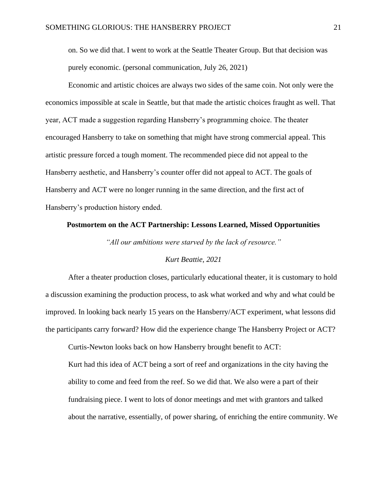on. So we did that. I went to work at the Seattle Theater Group. But that decision was purely economic. (personal communication, July 26, 2021)

Economic and artistic choices are always two sides of the same coin. Not only were the economics impossible at scale in Seattle, but that made the artistic choices fraught as well. That year, ACT made a suggestion regarding Hansberry's programming choice. The theater encouraged Hansberry to take on something that might have strong commercial appeal. This artistic pressure forced a tough moment. The recommended piece did not appeal to the Hansberry aesthetic, and Hansberry's counter offer did not appeal to ACT. The goals of Hansberry and ACT were no longer running in the same direction, and the first act of Hansberry's production history ended.

### **Postmortem on the ACT Partnership: Lessons Learned, Missed Opportunities**

*"All our ambitions were starved by the lack of resource."*

# *Kurt Beattie, 2021*

After a theater production closes, particularly educational theater, it is customary to hold a discussion examining the production process, to ask what worked and why and what could be improved. In looking back nearly 15 years on the Hansberry/ACT experiment, what lessons did the participants carry forward? How did the experience change The Hansberry Project or ACT?

Curtis-Newton looks back on how Hansberry brought benefit to ACT:

Kurt had this idea of ACT being a sort of reef and organizations in the city having the ability to come and feed from the reef. So we did that. We also were a part of their fundraising piece. I went to lots of donor meetings and met with grantors and talked about the narrative, essentially, of power sharing, of enriching the entire community. We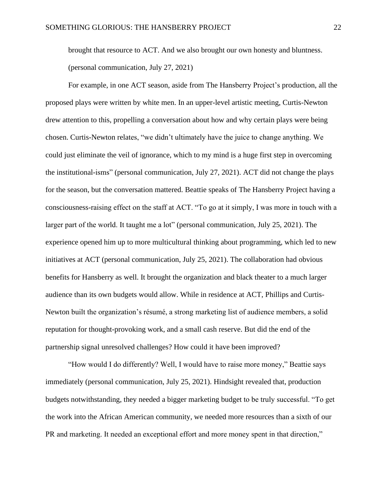brought that resource to ACT. And we also brought our own honesty and bluntness. (personal communication, July 27, 2021)

For example, in one ACT season, aside from The Hansberry Project's production, all the proposed plays were written by white men. In an upper-level artistic meeting, Curtis-Newton drew attention to this, propelling a conversation about how and why certain plays were being chosen. Curtis-Newton relates, "we didn't ultimately have the juice to change anything. We could just eliminate the veil of ignorance, which to my mind is a huge first step in overcoming the institutional-isms" (personal communication, July 27, 2021). ACT did not change the plays for the season, but the conversation mattered. Beattie speaks of The Hansberry Project having a consciousness-raising effect on the staff at ACT. "To go at it simply, I was more in touch with a larger part of the world. It taught me a lot" (personal communication, July 25, 2021). The experience opened him up to more multicultural thinking about programming, which led to new initiatives at ACT (personal communication, July 25, 2021). The collaboration had obvious benefits for Hansberry as well. It brought the organization and black theater to a much larger audience than its own budgets would allow. While in residence at ACT, Phillips and Curtis-Newton built the organization's résumé, a strong marketing list of audience members, a solid reputation for thought-provoking work, and a small cash reserve. But did the end of the partnership signal unresolved challenges? How could it have been improved?

"How would I do differently? Well, I would have to raise more money," Beattie says immediately (personal communication, July 25, 2021). Hindsight revealed that, production budgets notwithstanding, they needed a bigger marketing budget to be truly successful. "To get the work into the African American community, we needed more resources than a sixth of our PR and marketing. It needed an exceptional effort and more money spent in that direction,"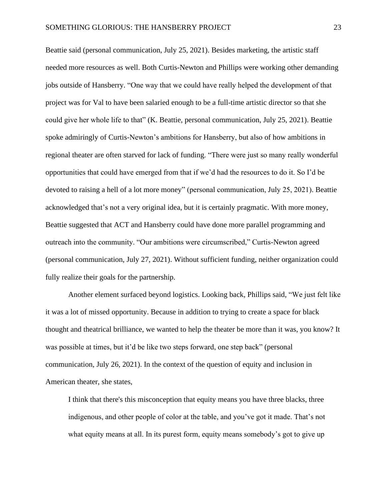Beattie said (personal communication, July 25, 2021). Besides marketing, the artistic staff needed more resources as well. Both Curtis-Newton and Phillips were working other demanding jobs outside of Hansberry. "One way that we could have really helped the development of that project was for Val to have been salaried enough to be a full-time artistic director so that she could give her whole life to that" (K. Beattie, personal communication, July 25, 2021). Beattie spoke admiringly of Curtis-Newton's ambitions for Hansberry, but also of how ambitions in regional theater are often starved for lack of funding. "There were just so many really wonderful opportunities that could have emerged from that if we'd had the resources to do it. So I'd be devoted to raising a hell of a lot more money" (personal communication, July 25, 2021). Beattie acknowledged that's not a very original idea, but it is certainly pragmatic. With more money, Beattie suggested that ACT and Hansberry could have done more parallel programming and outreach into the community. "Our ambitions were circumscribed," Curtis-Newton agreed (personal communication, July 27, 2021). Without sufficient funding, neither organization could fully realize their goals for the partnership.

Another element surfaced beyond logistics. Looking back, Phillips said, "We just felt like it was a lot of missed opportunity. Because in addition to trying to create a space for black thought and theatrical brilliance, we wanted to help the theater be more than it was, you know? It was possible at times, but it'd be like two steps forward, one step back" (personal communication, July 26, 2021). In the context of the question of equity and inclusion in American theater, she states,

I think that there's this misconception that equity means you have three blacks, three indigenous, and other people of color at the table, and you've got it made. That's not what equity means at all. In its purest form, equity means somebody's got to give up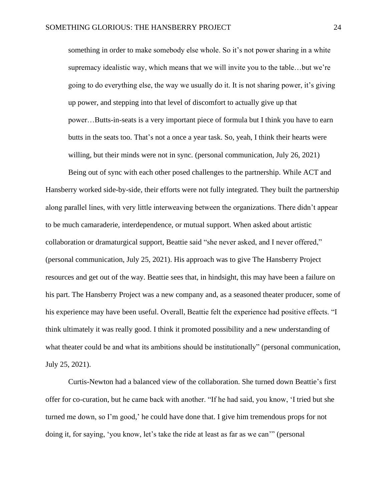something in order to make somebody else whole. So it's not power sharing in a white supremacy idealistic way, which means that we will invite you to the table…but we're going to do everything else, the way we usually do it. It is not sharing power, it's giving up power, and stepping into that level of discomfort to actually give up that power…Butts-in-seats is a very important piece of formula but I think you have to earn butts in the seats too. That's not a once a year task. So, yeah, I think their hearts were willing, but their minds were not in sync. (personal communication, July 26, 2021)

Being out of sync with each other posed challenges to the partnership. While ACT and Hansberry worked side-by-side, their efforts were not fully integrated. They built the partnership along parallel lines, with very little interweaving between the organizations. There didn't appear to be much camaraderie, interdependence, or mutual support. When asked about artistic collaboration or dramaturgical support, Beattie said "she never asked, and I never offered," (personal communication, July 25, 2021). His approach was to give The Hansberry Project resources and get out of the way. Beattie sees that, in hindsight, this may have been a failure on his part. The Hansberry Project was a new company and, as a seasoned theater producer, some of his experience may have been useful. Overall, Beattie felt the experience had positive effects. "I think ultimately it was really good. I think it promoted possibility and a new understanding of what theater could be and what its ambitions should be institutionally" (personal communication, July 25, 2021).

Curtis-Newton had a balanced view of the collaboration. She turned down Beattie's first offer for co-curation, but he came back with another. "If he had said, you know, 'I tried but she turned me down, so I'm good,' he could have done that. I give him tremendous props for not doing it, for saying, 'you know, let's take the ride at least as far as we can'" (personal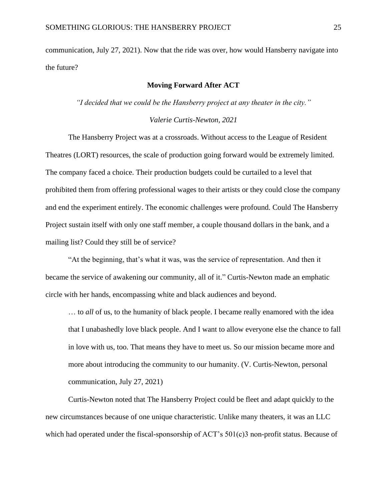communication, July 27, 2021). Now that the ride was over, how would Hansberry navigate into the future?

# **Moving Forward After ACT**

*"I decided that we could be the Hansberry project at any theater in the city."*

#### *Valerie Curtis-Newton, 2021*

The Hansberry Project was at a crossroads. Without access to the League of Resident Theatres (LORT) resources, the scale of production going forward would be extremely limited. The company faced a choice. Their production budgets could be curtailed to a level that prohibited them from offering professional wages to their artists or they could close the company and end the experiment entirely. The economic challenges were profound. Could The Hansberry Project sustain itself with only one staff member, a couple thousand dollars in the bank, and a mailing list? Could they still be of service?

"At the beginning, that's what it was, was the service of representation. And then it became the service of awakening our community, all of it." Curtis-Newton made an emphatic circle with her hands, encompassing white and black audiences and beyond.

… to *all* of us, to the humanity of black people. I became really enamored with the idea that I unabashedly love black people. And I want to allow everyone else the chance to fall in love with us, too. That means they have to meet us. So our mission became more and more about introducing the community to our humanity. (V. Curtis-Newton, personal communication, July 27, 2021)

Curtis-Newton noted that The Hansberry Project could be fleet and adapt quickly to the new circumstances because of one unique characteristic. Unlike many theaters, it was an LLC which had operated under the fiscal-sponsorship of ACT's 501(c)3 non-profit status. Because of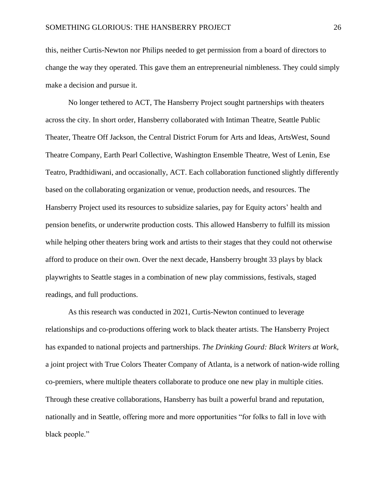this, neither Curtis-Newton nor Philips needed to get permission from a board of directors to change the way they operated. This gave them an entrepreneurial nimbleness. They could simply make a decision and pursue it.

No longer tethered to ACT, The Hansberry Project sought partnerships with theaters across the city. In short order, Hansberry collaborated with Intiman Theatre, Seattle Public Theater, Theatre Off Jackson, the Central District Forum for Arts and Ideas, ArtsWest, Sound Theatre Company, Earth Pearl Collective, Washington Ensemble Theatre, West of Lenin, Ese Teatro, Pradthidiwani, and occasionally, ACT. Each collaboration functioned slightly differently based on the collaborating organization or venue, production needs, and resources. The Hansberry Project used its resources to subsidize salaries, pay for Equity actors' health and pension benefits, or underwrite production costs. This allowed Hansberry to fulfill its mission while helping other theaters bring work and artists to their stages that they could not otherwise afford to produce on their own. Over the next decade, Hansberry brought 33 plays by black playwrights to Seattle stages in a combination of new play commissions, festivals, staged readings, and full productions.

As this research was conducted in 2021, Curtis-Newton continued to leverage relationships and co-productions offering work to black theater artists. The Hansberry Project has expanded to national projects and partnerships. *The Drinking Gourd: Black Writers at Work*, a joint project with True Colors Theater Company of Atlanta, is a network of nation-wide rolling co-premiers, where multiple theaters collaborate to produce one new play in multiple cities. Through these creative collaborations, Hansberry has built a powerful brand and reputation, nationally and in Seattle, offering more and more opportunities "for folks to fall in love with black people."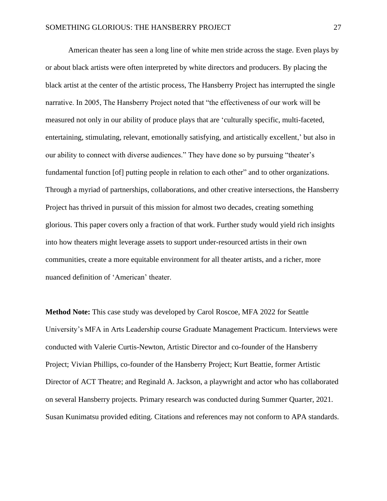American theater has seen a long line of white men stride across the stage. Even plays by or about black artists were often interpreted by white directors and producers. By placing the black artist at the center of the artistic process, The Hansberry Project has interrupted the single narrative. In 2005, The Hansberry Project noted that "the effectiveness of our work will be measured not only in our ability of produce plays that are 'culturally specific, multi-faceted, entertaining, stimulating, relevant, emotionally satisfying, and artistically excellent,' but also in our ability to connect with diverse audiences." They have done so by pursuing "theater's fundamental function [of] putting people in relation to each other" and to other organizations. Through a myriad of partnerships, collaborations, and other creative intersections, the Hansberry Project has thrived in pursuit of this mission for almost two decades, creating something glorious. This paper covers only a fraction of that work. Further study would yield rich insights into how theaters might leverage assets to support under-resourced artists in their own communities, create a more equitable environment for all theater artists, and a richer, more nuanced definition of 'American' theater.

**Method Note:** This case study was developed by Carol Roscoe, MFA 2022 for Seattle University's MFA in Arts Leadership course Graduate Management Practicum. Interviews were conducted with Valerie Curtis-Newton, Artistic Director and co-founder of the Hansberry Project; Vivian Phillips, co-founder of the Hansberry Project; Kurt Beattie, former Artistic Director of ACT Theatre; and Reginald A. Jackson, a playwright and actor who has collaborated on several Hansberry projects. Primary research was conducted during Summer Quarter, 2021. Susan Kunimatsu provided editing. Citations and references may not conform to APA standards.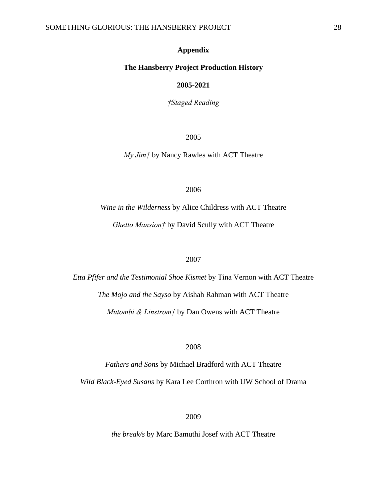# **Appendix**

#### **The Hansberry Project Production History**

#### **2005-2021**

*†Staged Reading*

2005

*My Jim†* by Nancy Rawles with ACT Theatre

2006

*Wine in the Wilderness* by Alice Childress with ACT Theatre *Ghetto Mansion†* by David Scully with ACT Theatre

#### 2007

*Etta Pfifer and the Testimonial Shoe Kismet* by Tina Vernon with ACT Theatre *The Mojo and the Sayso* by Aishah Rahman with ACT Theatre *Mutombi & Linstrom†* by Dan Owens with ACT Theatre

2008

*Fathers and Sons* by Michael Bradford with ACT Theatre *Wild Black-Eyed Susans* by Kara Lee Corthron with UW School of Drama

2009

*the break/s* by Marc Bamuthi Josef with ACT Theatre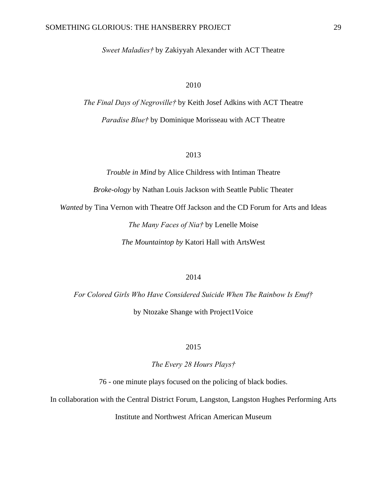*Sweet Maladies†* by Zakiyyah Alexander with ACT Theatre

# 2010

*The Final Days of Negroville†* by Keith Josef Adkins with ACT Theatre *Paradise Blue†* by Dominique Morisseau with ACT Theatre

# 2013

*Trouble in Mind* by Alice Childress with Intiman Theatre

*Broke-ology* by Nathan Louis Jackson with Seattle Public Theater

*Wanted* by Tina Vernon with Theatre Off Jackson and the CD Forum for Arts and Ideas

*The Many Faces of Nia†* by Lenelle Moise

*The Mountaintop by* Katori Hall with ArtsWest

#### 2014

*For Colored Girls Who Have Considered Suicide When The Rainbow Is Enuf†*  by Ntozake Shange with Project1Voice

2015

*The Every 28 Hours Plays†*

76 - one minute plays focused on the policing of black bodies.

In collaboration with the Central District Forum, Langston, Langston Hughes Performing Arts

Institute and Northwest African American Museum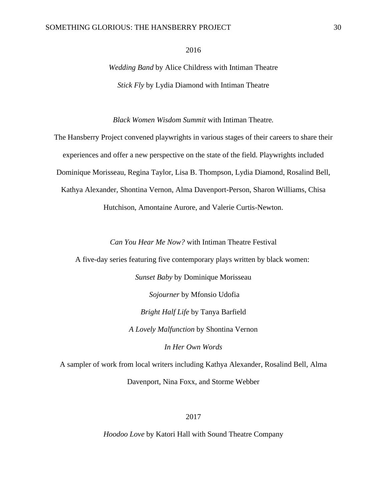#### SOMETHING GLORIOUS: THE HANSBERRY PROJECT 30

2016

*Wedding Band* by Alice Childress with Intiman Theatre *Stick Fly* by Lydia Diamond with Intiman Theatre

*Black Women Wisdom Summit* with Intiman Theatre*.*

The Hansberry Project convened playwrights in various stages of their careers to share their experiences and offer a new perspective on the state of the field. Playwrights included Dominique Morisseau, Regina Taylor, Lisa B. Thompson, Lydia Diamond, Rosalind Bell, Kathya Alexander, Shontina Vernon, Alma Davenport-Person, Sharon Williams, Chisa Hutchison, Amontaine Aurore, and Valerie Curtis-Newton.

*Can You Hear Me Now?* with Intiman Theatre Festival

A five-day series featuring five contemporary plays written by black women:

*Sunset Baby* by Dominique Morisseau

*Sojourner* by Mfonsio Udofia

*Bright Half Life* by Tanya Barfield

*A Lovely Malfunction* by Shontina Vernon

*In Her Own Words*

A sampler of work from local writers including Kathya Alexander, Rosalind Bell, Alma Davenport, Nina Foxx, and Storme Webber

2017

*Hoodoo Love* by Katori Hall with Sound Theatre Company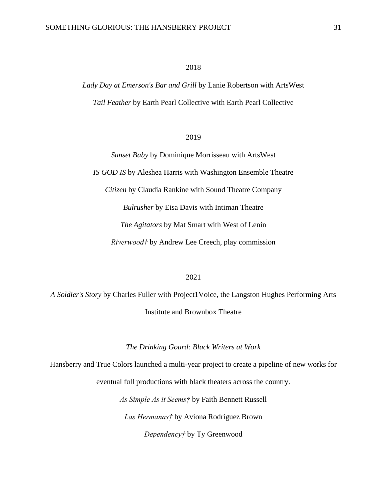# 2018

*Lady Day at Emerson's Bar and Grill* by Lanie Robertson with ArtsWest *Tail Feather* by Earth Pearl Collective with Earth Pearl Collective

# 2019

*Sunset Baby* by Dominique Morrisseau with ArtsWest *IS GOD IS* by Aleshea Harris with Washington Ensemble Theatre *Citizen* by Claudia Rankine with Sound Theatre Company *Bulrusher* by Eisa Davis with Intiman Theatre *The Agitators* by Mat Smart with West of Lenin *Riverwood†* by Andrew Lee Creech, play commission

#### 2021

*A Soldier's Story* by Charles Fuller with Project1Voice, the Langston Hughes Performing Arts Institute and Brownbox Theatre

*The Drinking Gourd: Black Writers at Work*

Hansberry and True Colors launched a multi-year project to create a pipeline of new works for eventual full productions with black theaters across the country.

> *As Simple As it Seems†* by Faith Bennett Russell *Las Hermanas†* by Aviona Rodriguez Brown *Dependency†* by Ty Greenwood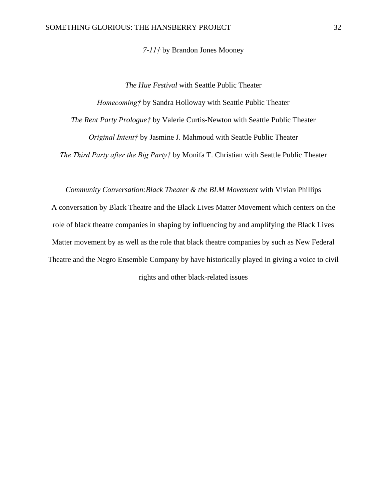*7-11†* by Brandon Jones Mooney

*The Hue Festival* with Seattle Public Theater

*Homecoming†* by Sandra Holloway with Seattle Public Theater

*The Rent Party Prologue†* by Valerie Curtis-Newton with Seattle Public Theater

*Original Intent†* by Jasmine J. Mahmoud with Seattle Public Theater

*The Third Party after the Big Party†* by Monifa T. Christian with Seattle Public Theater

*Community Conversation:Black Theater & the BLM Movement* with Vivian Phillips

A conversation by Black Theatre and the Black Lives Matter Movement which centers on the role of black theatre companies in shaping by influencing by and amplifying the Black Lives Matter movement by as well as the role that black theatre companies by such as New Federal Theatre and the Negro Ensemble Company by have historically played in giving a voice to civil rights and other black-related issues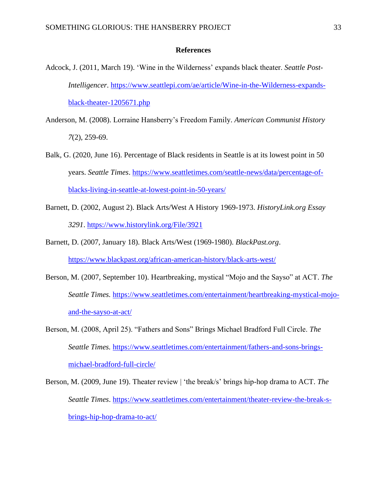#### **References**

- Adcock, J. (2011, March 19). 'Wine in the Wilderness' expands black theater. *Seattle Post-Intelligencer*. [https://www.seattlepi.com/ae/article/Wine-in-the-Wilderness-expands](https://www.seattlepi.com/ae/article/Wine-in-the-Wilderness-expands-black-theater-1205671.php)[black-theater-1205671.php](https://www.seattlepi.com/ae/article/Wine-in-the-Wilderness-expands-black-theater-1205671.php)
- Anderson, M. (2008). Lorraine Hansberry's Freedom Family. *American Communist History 7*(2), 259-69.
- Balk, G. (2020, June 16). Percentage of Black residents in Seattle is at its lowest point in 50 years. *Seattle Times*. [https://www.seattletimes.com/seattle-news/data/percentage-of](https://www.seattletimes.com/seattle-news/data/percentage-of-blacks-living-in-seattle-at-lowest-point-in-50-years/)[blacks-living-in-seattle-at-lowest-point-in-50-years/](https://www.seattletimes.com/seattle-news/data/percentage-of-blacks-living-in-seattle-at-lowest-point-in-50-years/)
- Barnett, D. (2002, August 2). Black Arts/West A History 1969-1973. *HistoryLink.org Essay 3291*.<https://www.historylink.org/File/3921>
- Barnett, D. (2007, January 18). Black Arts/West (1969-1980). *BlackPast.org*. <https://www.blackpast.org/african-american-history/black-arts-west/>
- Berson, M. (2007, September 10). Heartbreaking, mystical "Mojo and the Sayso" at ACT. *The Seattle Times.* [https://www.seattletimes.com/entertainment/heartbreaking-mystical-mojo](https://www.seattletimes.com/entertainment/heartbreaking-mystical-mojo-and-the-sayso-at-act/)[and-the-sayso-at-act/](https://www.seattletimes.com/entertainment/heartbreaking-mystical-mojo-and-the-sayso-at-act/)
- Berson, M. (2008, April 25). "Fathers and Sons" Brings Michael Bradford Full Circle. *The Seattle Times.* [https://www.seattletimes.com/entertainment/fathers-and-sons-brings](https://www.seattletimes.com/entertainment/fathers-and-sons-brings-michael-bradford-full-circle/)[michael-bradford-full-circle/](https://www.seattletimes.com/entertainment/fathers-and-sons-brings-michael-bradford-full-circle/)
- Berson, M. (2009, June 19). Theater review | 'the break/s' brings hip-hop drama to ACT. *The Seattle Times*. [https://www.seattletimes.com/entertainment/theater-review-the-break-s](https://www.seattletimes.com/entertainment/theater-review-the-break-s-brings-hip-hop-drama-to-act/)[brings-hip-hop-drama-to-act/](https://www.seattletimes.com/entertainment/theater-review-the-break-s-brings-hip-hop-drama-to-act/)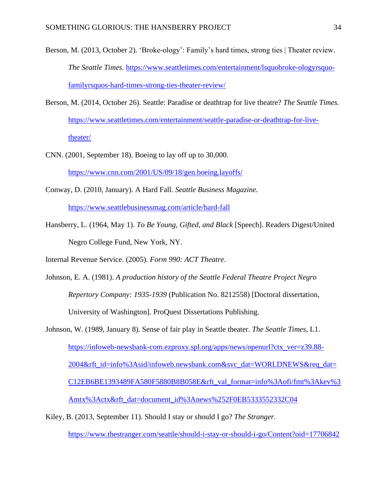- Berson, M. (2013, October 2). 'Broke-ology': Family's hard times, strong ties | Theater review. *The Seattle Times*. [https://www.seattletimes.com/entertainment/lsquobroke-ologyrsquo](https://www.seattletimes.com/entertainment/lsquobroke-ologyrsquo-familyrsquos-hard-times-strong-ties-theater-review/)[familyrsquos-hard-times-strong-ties-theater-review/](https://www.seattletimes.com/entertainment/lsquobroke-ologyrsquo-familyrsquos-hard-times-strong-ties-theater-review/)
- Berson, M. (2014, October 26). Seattle: Paradise or deathtrap for live theatre? *The Seattle Times.*  [https://www.seattletimes.com/entertainment/seattle-paradise-or-deathtrap-for-live](https://www.seattletimes.com/entertainment/seattle-paradise-or-deathtrap-for-live-theater/)[theater/](https://www.seattletimes.com/entertainment/seattle-paradise-or-deathtrap-for-live-theater/)
- CNN. (2001, September 18). Boeing to lay off up to 30,000. <https://www.cnn.com/2001/US/09/18/gen.boeing.layoffs/>
- Conway, D. (2010, January). A Hard Fall. *Seattle Business Magazine.*  <https://www.seattlebusinessmag.com/article/hard-fall>
- Hansberry, L. (1964, May 1). *To Be Young, Gifted, and Black* [Speech]. Readers Digest/United Negro College Fund, New York, NY.

Internal Revenue Service. (2005). *Form 990: ACT Theatre*.

- Johnson, E. A. (1981). *A production history of the Seattle Federal Theatre Project Negro Repertory Company: 1935-1939* (Publication No. 8212558) [Doctoral dissertation, University of Washington]. ProQuest Dissertations Publishing.
- Johnson, W. (1989, January 8). Sense of fair play in Seattle theater. *The Seattle Times*, L1. [https://infoweb-newsbank-com.ezproxy.spl.org/apps/news/openurl?ctx\\_ver=z39.88-](https://infoweb-newsbank-com.ezproxy.spl.org/apps/news/openurl?ctx_ver=z39.88-2004&rft_id=info%3Asid/infoweb.newsbank.com&svc_dat=WORLDNEWS&req_dat=C12EB6BE1393489FA580F5880B8B058E&rft_val_format=info%3Aofi/fmt%3Akev%3Amtx%3Actx&rft_dat=document_id%3Anews%252F0EB5333552332C04) [2004&rft\\_id=info%3Asid/infoweb.newsbank.com&svc\\_dat=WORLDNEWS&req\\_dat=](https://infoweb-newsbank-com.ezproxy.spl.org/apps/news/openurl?ctx_ver=z39.88-2004&rft_id=info%3Asid/infoweb.newsbank.com&svc_dat=WORLDNEWS&req_dat=C12EB6BE1393489FA580F5880B8B058E&rft_val_format=info%3Aofi/fmt%3Akev%3Amtx%3Actx&rft_dat=document_id%3Anews%252F0EB5333552332C04) [C12EB6BE1393489FA580F5880B8B058E&rft\\_val\\_format=info%3Aofi/fmt%3Akev%3](https://infoweb-newsbank-com.ezproxy.spl.org/apps/news/openurl?ctx_ver=z39.88-2004&rft_id=info%3Asid/infoweb.newsbank.com&svc_dat=WORLDNEWS&req_dat=C12EB6BE1393489FA580F5880B8B058E&rft_val_format=info%3Aofi/fmt%3Akev%3Amtx%3Actx&rft_dat=document_id%3Anews%252F0EB5333552332C04) [Amtx%3Actx&rft\\_dat=document\\_id%3Anews%252F0EB5333552332C04](https://infoweb-newsbank-com.ezproxy.spl.org/apps/news/openurl?ctx_ver=z39.88-2004&rft_id=info%3Asid/infoweb.newsbank.com&svc_dat=WORLDNEWS&req_dat=C12EB6BE1393489FA580F5880B8B058E&rft_val_format=info%3Aofi/fmt%3Akev%3Amtx%3Actx&rft_dat=document_id%3Anews%252F0EB5333552332C04)
- Kiley, B. (2013, September 11). Should I stay or should I go? *The Stranger.* <https://www.thestranger.com/seattle/should-i-stay-or-should-i-go/Content?oid=17706842>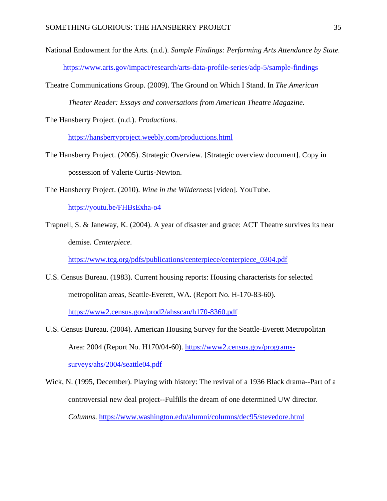- National Endowment for the Arts. (n.d.). *Sample Findings: Performing Arts Attendance by State.*  <https://www.arts.gov/impact/research/arts-data-profile-series/adp-5/sample-findings>
- Theatre Communications Group. (2009). The Ground on Which I Stand. In *The American Theater Reader: Essays and conversations from American Theatre Magazine.*

The Hansberry Project. (n.d.). *Productions*.

<https://hansberryproject.weebly.com/productions.html>

The Hansberry Project. (2005). Strategic Overview. [Strategic overview document]. Copy in possession of Valerie Curtis-Newton.

The Hansberry Project. (2010). *Wine in the Wilderness* [video]. YouTube.

<https://youtu.be/FHBsExha-o4>

Trapnell, S. & Janeway, K. (2004). A year of disaster and grace: ACT Theatre survives its near demise. *Centerpiece*.

[https://www.tcg.org/pdfs/publications/centerpiece/centerpiece\\_0304.pdf](https://www.tcg.org/pdfs/publications/centerpiece/centerpiece_0304.pdf)

U.S. Census Bureau. (1983). Current housing reports: Housing characterists for selected metropolitan areas, Seattle-Everett, WA. (Report No. H-170-83-60).

<https://www2.census.gov/prod2/ahsscan/h170-8360.pdf>

- U.S. Census Bureau. (2004). American Housing Survey for the Seattle-Everett Metropolitan Area: 2004 (Report No. H170/04-60). [https://www2.census.gov/programs](https://www2.census.gov/programs-surveys/ahs/2004/seattle04.pdf)[surveys/ahs/2004/seattle04.pdf](https://www2.census.gov/programs-surveys/ahs/2004/seattle04.pdf)
- Wick, N. (1995, December). Playing with history: The revival of a 1936 Black drama--Part of a controversial new deal project--Fulfills the dream of one determined UW director. *Columns*.<https://www.washington.edu/alumni/columns/dec95/stevedore.html>